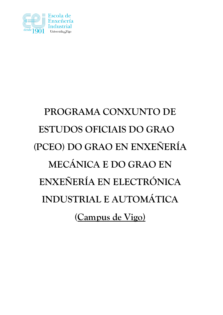

# **PROGRAMA CONXUNTO DE ESTUDOS OFICIAIS DO GRAO (PCEO) DO GRAO EN ENXEÑERÍA MECÁNICA E DO GRAO EN ENXEÑERÍA EN ELECTRÓNICA INDUSTRIAL E AUTOMÁTICA (Campus de Vigo)**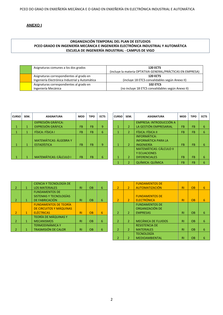# **ANEXO I**

# **ORGANIZACIÓN TEMPORAL DEL PLAN DE ESTUDIOS PCEO GRADO EN INGENIERÍA MECÁNICA E INGENIERÍA ELECTRÓNICA INDUSTRIAL Y AUTOMÁTICA ESCUELA DE INGENIERÍA INDUSTRIAL - CAMPUS DE VIGO**

| Asignaturas comunes a los dos grados                                                       | <b>120 ECTS</b><br>(incluye la materia OPTATIVA GENERAL/PRÁCTICAS EN EMPRESA) |
|--------------------------------------------------------------------------------------------|-------------------------------------------------------------------------------|
| Asignaturas correspondientes al grado en<br>Ingeniería Electrónica Industrial y Automática | <b>120 ECTS</b><br>(incluye 18 ETCS convalidables según Anexo II)             |
| Asignaturas correspondientes al grado en<br>Ingeniería Mecánica                            | <b>102 ETCS</b><br>(no incluye 18 ETCS convalidables según Anexo II)          |

| <b>CURSO</b> | SEM. | <b>ASIGNATURA</b>             | <b>MOD</b>     | <b>TIPO</b>     | <b>ECTS</b> | <b>CURSO</b> | SEM.           | <b>ASIGNATURA</b>                                     | <b>MOD</b> | <b>TIPO</b>     | <b>ECTS</b> |
|--------------|------|-------------------------------|----------------|-----------------|-------------|--------------|----------------|-------------------------------------------------------|------------|-----------------|-------------|
|              |      | <b>EXPRESIÓN GRÁFICA:</b>     |                |                 |             |              |                | EMPRESA: INTRODUCCIÓN A                               |            |                 |             |
|              |      | <b>EXPRESIÓN GRÁFICA</b>      | F <sub>B</sub> | <b>FB</b>       | 9           |              |                | LA GESTIÓN EMPRESARIAL                                | <b>FB</b>  | <b>FB</b>       | 6           |
|              |      | FÍSICA: FÍSICA I              | <b>FB</b>      | FB <sup>1</sup> | 6           |              |                | FÍSICA: FÍSICA II                                     | <b>FB</b>  | <b>FB</b>       | -6          |
|              |      | <b>MATEMÁTICAS: ÁLGEBRA Y</b> |                |                 |             |              |                | <b>INFORMÁTICA:</b><br><b>INFORMÁTICA PARA LA</b>     |            |                 |             |
|              |      | <b>ESTADÍSTICA</b>            | <b>FB</b>      | <b>FB</b>       | 9           |              | $\overline{2}$ | <b>INGENIERÍA</b>                                     | <b>FB</b>  | <b>FB</b>       | 6           |
|              |      |                               |                |                 |             |              |                | <b>MATEMÁTICAS: CÁLCULO II</b><br><b>Y ECUACIONES</b> |            |                 |             |
|              |      | <b>MATEMÁTICAS: CÁLCULO I</b> | <b>FB</b>      | <b>FB</b>       | 6           |              |                | <b>DIFERENCIALES</b>                                  | <b>FB</b>  | FB <sup>\</sup> | 6           |

| <b>CURSO</b> | SEM.           | <b>ASIGNATURA</b>              | <b>MOD</b> | <b>TIPO</b> | <b>ECTS</b> |
|--------------|----------------|--------------------------------|------------|-------------|-------------|
|              |                | <b>EMPRESA: INTRODUCCIÓN A</b> |            |             |             |
| $\mathbf{1}$ | $\overline{2}$ | LA GESTIÓN EMPRESARIAL         | FB         | <b>FB</b>   | 6           |
| 1            | $\overline{2}$ | FÍSICA: FÍSICA II              | FB         | <b>FB</b>   | 6           |
|              |                | <b>INFORMÁTICA:</b>            |            |             |             |
|              |                | <b>INFORMÁTICA PARA LA</b>     |            |             |             |
| 1            | 2              | INGENIERÍA                     | FB         | <b>FB</b>   | 6           |
|              |                | <b>MATEMÁTICAS: CÁLCULO II</b> |            |             |             |
|              |                | <b>Y ECUACIONES</b>            |            |             |             |
| 1            | $\overline{2}$ | <b>DIFERENCIALES</b>           | FB         | FB          | 6           |
|              | $\overline{2}$ | <b>QUÍMICA: QUÍMICA</b>        | FB         | FB          | 6           |

|                          |   | <b>CIENCIA Y TECNOLOGÍA DE</b> |           |           |   |                |                |
|--------------------------|---|--------------------------------|-----------|-----------|---|----------------|----------------|
| 2                        | 1 | <b>LOS MATERIALES</b>          | RI        | <b>OB</b> | 6 | $\overline{2}$ | $\overline{2}$ |
|                          |   | <b>FUNDAMENTOS DE</b>          |           |           |   |                |                |
|                          |   | SISTEMAS Y TECNOLOGÍAS         |           |           |   |                |                |
| $\mathcal{P}$            | 1 | DE FABRICACIÓN                 | RI        | <b>OB</b> | 6 | $\overline{2}$ | $\overline{2}$ |
|                          |   | <b>FUNDAMENTOS DE TEORÍA</b>   |           |           |   |                |                |
|                          |   | DE CIRCUITOS Y MÁQUINAS        |           |           |   |                |                |
| $\overline{\phantom{a}}$ | 1 | <b>ELÉCTRICAS</b>              | RI        | <b>OB</b> | 6 | 2              | 2              |
|                          |   | <b>TEORÍA DE MÁQUINAS Y</b>    |           |           |   |                |                |
| $\mathcal{P}$            | 1 | <b>MECANISMOS</b>              | <b>RI</b> | <b>OB</b> | 6 | $\overline{2}$ | 2              |
|                          |   | <b>TERMODINÁMICA Y</b>         |           |           |   |                |                |
|                          |   | <b>TRASMISIÓN DE CALOR</b>     | RI        | <b>OB</b> | 6 | $\overline{2}$ | 2              |

| CIENCIA Y TECNOLOGÍA DE      |                |           |   |                |                | <b>FUNDAMENTOS DE</b>      |                |           |   |
|------------------------------|----------------|-----------|---|----------------|----------------|----------------------------|----------------|-----------|---|
| <b>LOS MATERIALES</b>        | R1             | <b>OB</b> | 6 | $\overline{2}$ | $\mathcal{P}$  | AUTOMATIZACIÓN             | <b>RI</b>      | <b>OB</b> | 6 |
| <b>FUNDAMENTOS DE</b>        |                |           |   |                |                |                            |                |           |   |
| SISTEMAS Y TECNOLOGÍAS       |                |           |   |                |                | <b>FUNDAMENTOS DE</b>      |                |           |   |
| DE FABRICACIÓN               | R1             | <b>OB</b> | 6 | $\overline{2}$ | $\mathcal{P}$  | <b>ELECTRÓNICA</b>         | <b>RI</b>      | <b>OB</b> | 6 |
| <b>FUNDAMENTOS DE TEORÍA</b> |                |           |   |                |                | <b>FUNDAMENTOS DE</b>      |                |           |   |
| DE CIRCUITOS Y MÁQUINAS      |                |           |   |                |                | ORGANIZACIÓN DE            |                |           |   |
| <b>ELÉCTRICAS</b>            | R1             | <b>OB</b> | 6 | 2              | $\overline{2}$ | <b>EMPRESAS</b>            | R <sub>1</sub> | <b>OB</b> | 6 |
| TEORÍA DE MÁQUINAS Y         |                |           |   |                |                |                            |                |           |   |
| <b>MECANISMOS</b>            | <b>RI</b>      | <b>OB</b> | 6 | $\mathcal{P}$  | $\overline{2}$ | <b>MECÁNICA DE FLUIDOS</b> | <b>RI</b>      | <b>OB</b> | 6 |
| TERMODINÁMICA Y              |                |           |   |                |                | <b>RESISTENCIA DE</b>      |                |           |   |
| <b>TRASMISIÓN DE CALOR</b>   | R <sub>l</sub> | <b>OB</b> | 6 | 2              | $\overline{2}$ | <b>MATERIALES</b>          | R <sub>1</sub> | <b>OB</b> | 6 |
|                              |                |           |   |                |                | <b>TECNOLOGÍA</b>          |                |           |   |
|                              |                |           |   | 2              |                | <b>MEDIOAMBIENTAL</b>      | <b>RI</b>      | <b>OB</b> | 6 |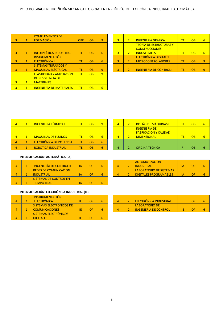|   |              | <b>COMPLEMENTOS DE</b>          |            |                 |                |                |                |
|---|--------------|---------------------------------|------------|-----------------|----------------|----------------|----------------|
| 3 | $\mathbf{1}$ | <b>FORMACIÓN</b>                | <b>OBE</b> | <b>OB</b>       | $\overline{9}$ | $\overline{3}$ | $\overline{2}$ |
| 3 | $\mathbf{1}$ | <b>INFORMÁTICA INDUSTRIAL</b>   | <b>TE</b>  | <b>OB</b>       | 6              | 3              | $\overline{2}$ |
|   |              | <b>INSTRUMENTACIÓN</b>          |            |                 |                |                |                |
| 3 | 1            | ELECTRÓNICA I                   | TE         | <b>OB</b>       | 6              | 3              | $\overline{2}$ |
|   |              | <b>SISTEMAS TRIFÁSICOS Y</b>    |            |                 |                |                |                |
| 3 | 1            | <b>MÁQUINAS ELÉCTRICAS</b>      | TE         | <b>OB</b>       | 9              | 3              | $\overline{2}$ |
|   |              | <b>ELASTICIDAD Y AMPLIACIÓN</b> | <b>TE</b>  | $\overline{OB}$ | 9              |                |                |
|   |              | <b>DE RESISTENCIA DE</b>        |            |                 |                |                |                |
| 3 | $\mathbf{1}$ | <b>MATERIALES</b>               |            |                 |                |                |                |
| 3 | 1            | <b>INGENIERÍA DE MATERIALES</b> | TE         | <b>OB</b>       | 6              |                |                |

| <b>COMPLEMENTOS DE</b>        |            |    |   |    |                                |    |                 |                 |
|-------------------------------|------------|----|---|----|--------------------------------|----|-----------------|-----------------|
| FORMACIÓN                     | <b>OBE</b> | OВ | 9 | 3. | <b>INGENIERÍA GRÁFICA</b>      | ТF | $\overline{OB}$ | $6\overline{6}$ |
|                               |            |    |   |    | <b>TEORÍA DE ESTRUCTURAS Y</b> |    |                 |                 |
|                               |            |    |   |    | <b>CONSTRUCCIONES</b>          |    |                 |                 |
| INFORMÁTICA INDUSTRIAL        | TE         | OВ | 6 |    | <b>INDUSTRIALES</b>            | ТF | $\overline{OB}$ | 6               |
| <b>INSTRUMENTACIÓN</b>        |            |    |   |    | ELECTRÓNICA DIGITAL Y          |    |                 |                 |
| ELECTRÓNICA I                 | ТE         | OВ | 6 |    | <b>MICROCONTROLADORES</b>      | ТF | <b>OB</b>       | 9               |
| <u>SISTEMAS TRIFÁSICOS Y </u> |            |    |   |    |                                |    |                 |                 |
| <b>MÁQUINAS ELÉCTRICAS</b>    | ТE         | OВ | 9 |    | <b>INGENIERÍA DE CONTROL I</b> | TF | <b>OB</b>       | 9               |

| $\blacktriangle$ | <b>INGENIERÍA TÉRMICA I</b> |     | OВ |   |  | <b>DISEÑO DE MÁQUINAS I</b>                          | <b>TE</b> | OB        |  |
|------------------|-----------------------------|-----|----|---|--|------------------------------------------------------|-----------|-----------|--|
|                  |                             |     |    |   |  | <b>INGENIERÍA DE</b><br><b>FABRICACIÓN Y CALIDAD</b> |           |           |  |
| 4                | <b>MÁQUINAS DE FLUIDOS</b>  | TE. | OВ | 6 |  | <b>DIMENSIONAL</b>                                   | ΤE        | <b>OB</b> |  |
| $\blacktriangle$ | ELECTRÓNICA DE POTENCIA     | TE. | OВ | 6 |  |                                                      |           |           |  |
| 4                | ROBÓTICA INDUSTRIAL         | TΕ  | OВ | 6 |  | OFICINA TÉCNICA                                      | <b>RI</b> | <b>OB</b> |  |

| $\overline{2}$ | <b>DISEÑO DE MÁQUINAS I</b>  | TF. | OB | 6 |
|----------------|------------------------------|-----|----|---|
|                | <b>INGENIERÍA DE</b>         |     |    |   |
|                | <b>FABRICACIÓN Y CALIDAD</b> |     |    |   |
| 2              | <b>DIMENSIONAL</b>           | TF. | OB | 6 |
|                |                              |     |    |   |
|                |                              |     |    |   |
| 2              | <b>OFICINA TÉCNICA</b>       | RI  | OB |   |

# **INTENSIFICACIÓN: AUTOMÁTICA (IA)**

|  | <b>INGENIERÍA DE CONTROL II</b> | IΑ | OP |  |  |
|--|---------------------------------|----|----|--|--|
|  | <b>REDES DE COMUNICACIÓN</b>    |    |    |  |  |
|  | <b>INDUSTRIAL</b>               | ΙA | ΩP |  |  |
|  | <b>SISTEMAS DE CONTROL EN</b>   |    |    |  |  |
|  | <b>TIEMPO REAL</b>              | ΙA | ∩D |  |  |

### **INTENSIFICACIÓN: ELECTRÓNICA INDUSTRIAL (IE)**

|  | <b>INSTRUMENTACIÓN</b>   |    |    |  |  |
|--|--------------------------|----|----|--|--|
|  | ELECTRÓNICA II           | ΙE | ΩP |  |  |
|  | SISTEMAS ELECTRÓNICOS DE |    |    |  |  |
|  | <b>COMUNICACIONES</b>    | IF | ∩Þ |  |  |
|  | SISTEMAS ELECTRÓNICOS    |    |    |  |  |
|  | <b>DIGITALES</b>         |    |    |  |  |

|  | <b>AUTOMATIZACIÓN</b><br><b>INDUSTRIAL</b> | IΑ | ωp |  |
|--|--------------------------------------------|----|----|--|
|  | LABORATORIO DE SISTEMAS                    |    |    |  |
|  | <b>DIGITALES PROGRAMABLES</b>              | IΑ | ωp |  |

| INSTRUMENTACION          |    |  |  |                                  |    |  |
|--------------------------|----|--|--|----------------------------------|----|--|
| ELECTRÓNICA II.          | OP |  |  | <u>I ELECTRÓNICA INDUSTRIAL.</u> | ОP |  |
| SISTEMAS ELECTRONICOS DE |    |  |  | <b>LABORATORIO DE</b>            |    |  |
| COMUNICACIONES           | ОP |  |  | <u>I INGENIERIA DE CONTROL</u>   | ОP |  |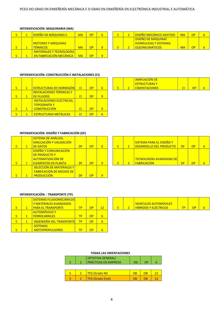#### **INTENSIFICACIÓN: MAQUINARIA (MA)**

|  | <b>DISEÑO DE MÁQUINAS IL</b>                                      | <b>MA</b> | ОP | 6        |  | <mark>l DISEÑO MECÁNICO ASISTIDO</mark>                                                     | <b>MA</b> | <b>OP</b> |  |
|--|-------------------------------------------------------------------|-----------|----|----------|--|---------------------------------------------------------------------------------------------|-----------|-----------|--|
|  | <b>MOTORES Y MÁQUINAS</b><br><b>TÉRMICOS</b>                      | MA        | OР |          |  | <b>DISEÑO DE MÁQUINAS</b><br><mark>l HIDRÁULICAS Y SISTEMAS</mark><br><b>OLEONEUMÁTICOS</b> | MA        | <b>OP</b> |  |
|  | <b>MATERIALES Y TECNOLOGÍAS</b><br><b>EN FABRICACIÓN MECÁNICA</b> | <b>MA</b> | OP | $\Omega$ |  |                                                                                             |           |           |  |

|  | DISEÑO MECÁNICO ASISTIDO      | MA        | ωp |  |
|--|-------------------------------|-----------|----|--|
|  | <b>DISEÑO DE MÁQUINAS</b>     |           |    |  |
|  | <b>HIDRÁULICAS Y SISTEMAS</b> |           |    |  |
|  | <b>OLEONEUMÁTICOS</b>         | <b>MA</b> | ∩D |  |

#### **INTENSIFICACIÓN: CONSTRUCCIÓN E INSTALACIONES (CI)**

|   | 1 | <b>ESTRUCTURAS DE HORMIGÓNI</b>  | <sub>CI</sub> | OP | 6 | 5 | $\overline{2}$ |
|---|---|----------------------------------|---------------|----|---|---|----------------|
|   |   | <b>INSTALACIONES TÉRMICAS Y</b>  |               |    |   |   |                |
| 5 | 1 | <b>DE FLUIDOS</b>                | <b>CI</b>     | OP | 9 |   |                |
|   |   | <b>INSTALACIONES ELÉCTRICAS,</b> |               |    |   |   |                |
|   |   | <b>TOPOGRAFÍA Y</b>              |               |    |   |   |                |
|   | 1 | <b>CONSTRUCCIÓN</b>              | <b>CI</b>     | OP | 9 |   |                |
|   |   | <b>ESTRUCTURAS METÁLICAS</b>     | <b>CI</b>     | OP |   |   |                |

|  | <b>AMPLIACIÓN DE</b> |  |  |
|--|----------------------|--|--|
|  | <b>ESTRUCTURAS Y</b> |  |  |
|  | <b>CIMENTACIONES</b> |  |  |

# **INTENSIFICACIÓN: DISEÑO Y FABRICACIÓN (DF)**

|   |   | SISTEMA DE ANÁLISIS,             |    |           |   |   |                |
|---|---|----------------------------------|----|-----------|---|---|----------------|
|   |   | SIMULACIÓN Y VALIDACIÓN          |    |           |   |   |                |
| 5 | 1 | <b>DE DATOS</b>                  | DF | <b>OP</b> | 6 | 5 | $\overline{2}$ |
|   |   | <b>DISEÑO Y COMUNICACIÓN</b>     |    |           |   |   |                |
|   |   | <b>DE PRODUCTO Y</b>             |    |           |   |   |                |
|   |   | <b>AUTOMATIZACIÓN DE</b>         |    |           |   |   |                |
| 5 | 1 | <b>ELEMENTOS EN PLANTA</b>       | DF | <b>OP</b> | 9 | 5 | っ              |
|   |   | <b>SELECCIÓN DE MATERIALES Y</b> |    |           |   |   |                |
|   |   | <b>FABRICACIÓN DE MEDIOS DE</b>  |    |           |   |   |                |
|   |   | <b>PRODUCCIÓN</b>                | DF | OP        |   |   |                |

|  | <b>SISTEMA PARA EL DISEÑO Y</b><br><b>DESARROLLO DEL PRODUCTO</b> | DF | OΡ |  |
|--|-------------------------------------------------------------------|----|----|--|
|  | <b>TECNOLOGÍAS AVANZADAS DE</b><br><b>FABRICACIÓN</b>             | DF | nÞ |  |

#### **INTENSIFICACIÓN: : TRANSPORTE (TP)**

|   |   | SISTEMAS FLUIDOMECÁNICOS         |                |    |    |   |                          |
|---|---|----------------------------------|----------------|----|----|---|--------------------------|
|   |   | <b>Y MATERIALES AVANZADOS</b>    |                |    |    |   |                          |
|   |   |                                  |                |    |    |   |                          |
|   |   | <b>PARA EL TRANSPORTE</b>        | <b>TP</b>      | OP | 12 | 5 | $\overline{\phantom{a}}$ |
|   |   | <b>AUTOMÓVILES Y</b>             |                |    |    |   |                          |
|   |   | <b>FERROCARRILES</b>             | <b>TP</b>      | OP | 6  |   |                          |
| 5 | 1 | <b>INGENIERÍA DEL TRANSPORTE</b> | $\overline{P}$ | OP | 6  |   |                          |
|   |   | <b>SISTEMAS</b>                  |                |    |    |   |                          |
|   |   |                                  |                |    |    |   |                          |
|   |   | <b>MOTOPROPULSORES</b>           | ТP             | OP | 6  |   |                          |

|  | <u> VEHÍCULOS AUTOMÓVILES</u>    |  |  |
|--|----------------------------------|--|--|
|  | <u>I HÍBRIDOS Y FI ÉCTRICOS.</u> |  |  |

#### **TODAS LAS ORIENTACIONES**

|  | <b>OPTATIVA GENERAL/</b><br>PRÁCTICAS EN EMPRESA | OG | ΩP |    |
|--|--------------------------------------------------|----|----|----|
|  |                                                  |    |    |    |
|  | <b>TFG (Grado M)</b>                             | OB | OB | 12 |
|  | <b>TFG (Grado ElyA)</b>                          | ΩR | ΩF |    |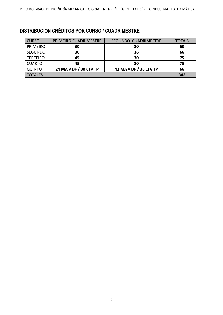# **DISTRIBUCIÓN CRÉDITOS POR CURSO / CUADRIMESTRE**

| <b>CURSO</b>    | PRIMEIRO CUADRIMESTRE   | SEGUNDO CUADRIMESTRE    | <b>TOTAIS</b> |
|-----------------|-------------------------|-------------------------|---------------|
| <b>PRIMEIRO</b> | 30                      | 30                      | 60            |
| <b>SEGUNDO</b>  | 30                      | 36                      | 66            |
| <b>TERCEIRO</b> | 45                      | 30                      | 75            |
| <b>CUARTO</b>   | 45                      | 30                      | 75            |
| <b>QUINTO</b>   | 24 MA y DF / 30 CI y TP | 42 MA y DF / 36 CI y TP | 66            |
| <b>TOTALES</b>  |                         |                         | 342           |